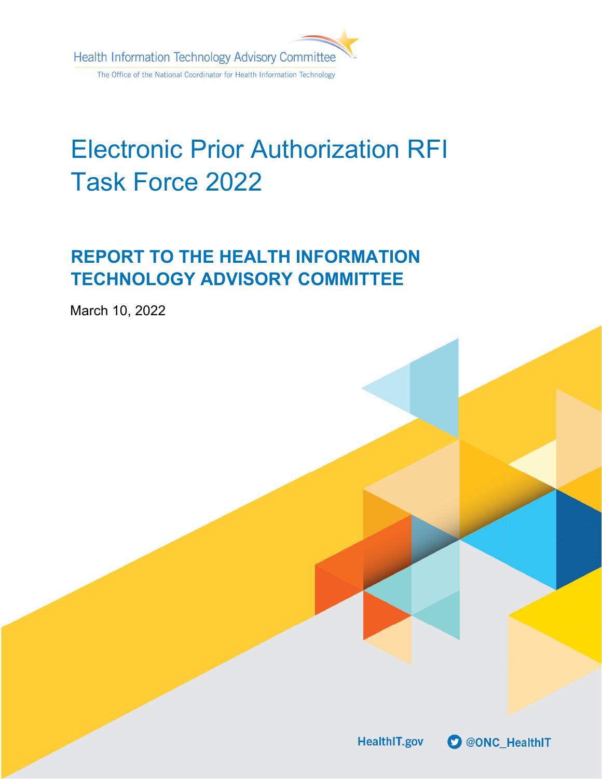

# Electronic Prior Authorization RFI Task Force 2022

# **REPORT TO THE HEALTH INFORMATION TECHNOLOGY ADVISORY COMMITTEE**

March 10, 2022

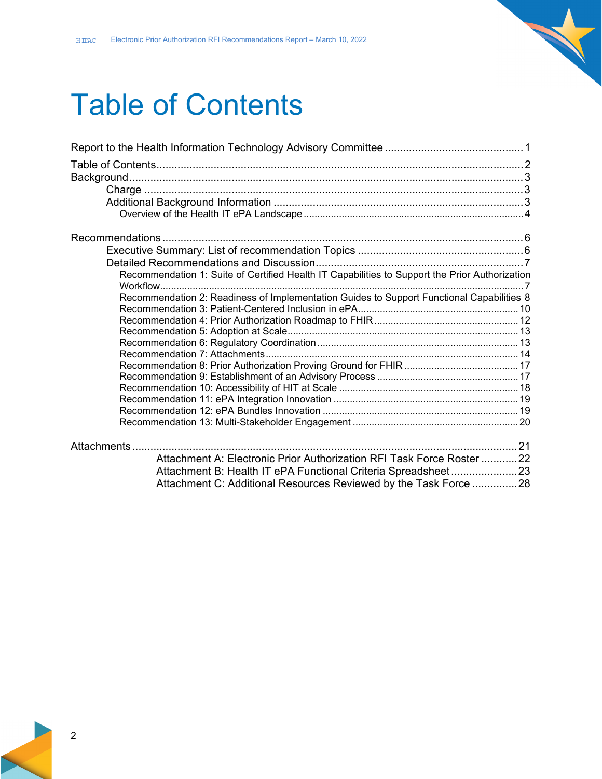# Table of Contents

| Recommendation 1: Suite of Certified Health IT Capabilities to Support the Prior Authorization |  |
|------------------------------------------------------------------------------------------------|--|
| Recommendation 2: Readiness of Implementation Guides to Support Functional Capabilities 8      |  |
|                                                                                                |  |
|                                                                                                |  |
|                                                                                                |  |
|                                                                                                |  |
|                                                                                                |  |
|                                                                                                |  |
|                                                                                                |  |
|                                                                                                |  |
|                                                                                                |  |
|                                                                                                |  |
|                                                                                                |  |
| Attachment A: Electronic Prior Authorization RFI Task Force Roster 22                          |  |
| Attachment B: Health IT ePA Functional Criteria Spreadsheet23                                  |  |
| Attachment C: Additional Resources Reviewed by the Task Force 28                               |  |

 $\overline{\phantom{0}}$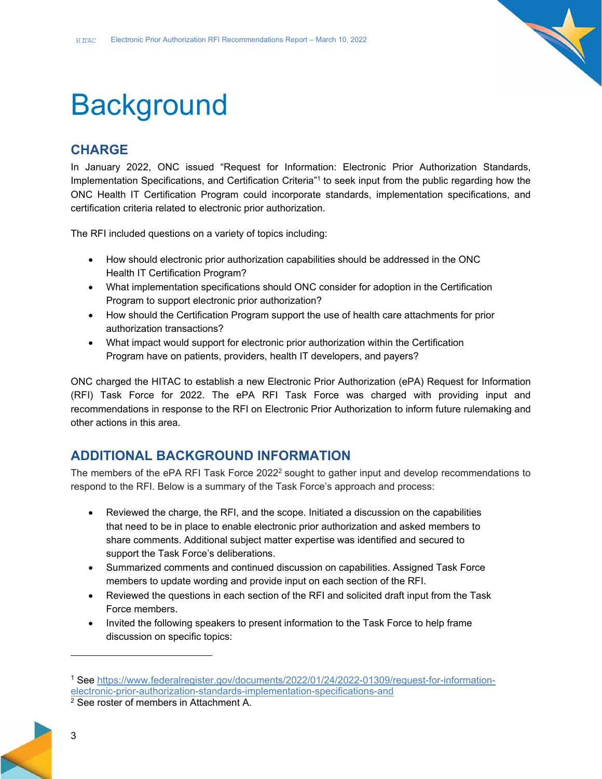

# **Background**

# **CHARGE**

In January 2022, ONC issued "Request for Information: Electronic Prior Authorization Standards, Implementation Specifications, and Certification Criteria"1 to seek input from the public regarding how the ONC Health IT Certification Program could incorporate standards, implementation specifications, and certification criteria related to electronic prior authorization.

The RFI included questions on a variety of topics including:

- How should electronic prior authorization capabilities should be addressed in the ONC Health IT Certification Program?
- What implementation specifications should ONC consider for adoption in the Certification Program to support electronic prior authorization?
- How should the Certification Program support the use of health care attachments for prior authorization transactions?
- What impact would support for electronic prior authorization within the Certification Program have on patients, providers, health IT developers, and payers?

ONC charged the HITAC to establish a new Electronic Prior Authorization (ePA) Request for Information (RFI) Task Force for 2022. The ePA RFI Task Force was charged with providing input and recommendations in response to the RFI on Electronic Prior Authorization to inform future rulemaking and other actions in this area.

### **ADDITIONAL BACKGROUND INFORMATION**

The members of the ePA RFI Task Force  $2022<sup>2</sup>$  sought to gather input and develop recommendations to respond to the RFI. Below is a summary of the Task Force's approach and process:

- Reviewed the charge, the RFI, and the scope. Initiated a discussion on the capabilities that need to be in place to enable electronic prior authorization and asked members to share comments. Additional subject matter expertise was identified and secured to support the Task Force's deliberations.
- Summarized comments and continued discussion on capabilities. Assigned Task Force members to update wording and provide input on each section of the RFI.
- Reviewed the questions in each section of the RFI and solicited draft input from the Task Force members.
- Invited the following speakers to present information to the Task Force to help frame discussion on specific topics:

<sup>1</sup> See https://www.federalregister.gov/documents/2022/01/24/2022-01309/request-for-informationelectronic-prior-authorization-standards-implementation-specifications-and 2 See roster of members in Attachment A.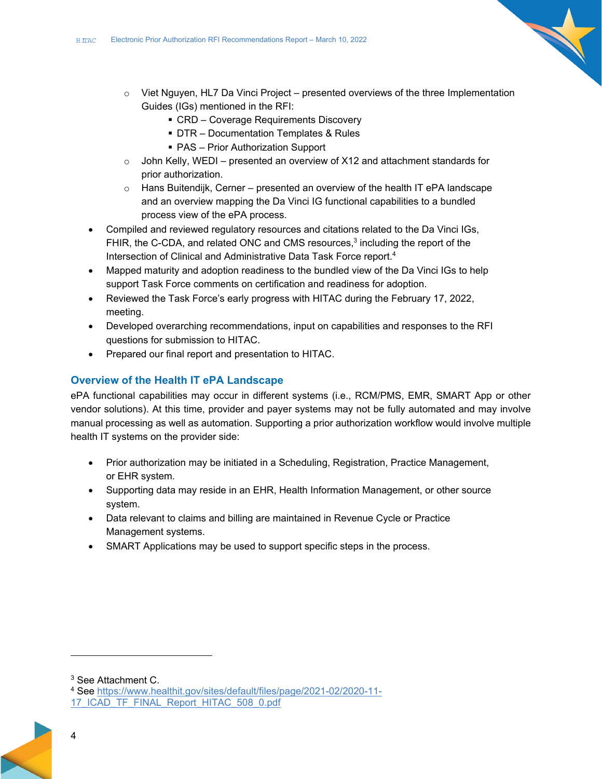- 
- $\circ$  Viet Nguyen, HL7 Da Vinci Project presented overviews of the three Implementation Guides (IGs) mentioned in the RFI:
	- CRD Coverage Requirements Discovery
	- DTR Documentation Templates & Rules
	- PAS Prior Authorization Support
- $\circ$  John Kelly, WEDI presented an overview of X12 and attachment standards for prior authorization.
- $\circ$  Hans Buitendijk, Cerner presented an overview of the health IT ePA landscape and an overview mapping the Da Vinci IG functional capabilities to a bundled process view of the ePA process.
- Compiled and reviewed regulatory resources and citations related to the Da Vinci IGs, FHIR, the C-CDA, and related ONC and CMS resources, $3$  including the report of the Intersection of Clinical and Administrative Data Task Force report.4
- Mapped maturity and adoption readiness to the bundled view of the Da Vinci IGs to help support Task Force comments on certification and readiness for adoption.
- Reviewed the Task Force's early progress with HITAC during the February 17, 2022, meeting.
- Developed overarching recommendations, input on capabilities and responses to the RFI questions for submission to HITAC.
- Prepared our final report and presentation to HITAC.

#### **Overview of the Health IT ePA Landscape**

ePA functional capabilities may occur in different systems (i.e., RCM/PMS, EMR, SMART App or other vendor solutions). At this time, provider and payer systems may not be fully automated and may involve manual processing as well as automation. Supporting a prior authorization workflow would involve multiple health IT systems on the provider side:

- Prior authorization may be initiated in a Scheduling, Registration, Practice Management, or EHR system.
- Supporting data may reside in an EHR, Health Information Management, or other source system.
- Data relevant to claims and billing are maintained in Revenue Cycle or Practice Management systems.
- SMART Applications may be used to support specific steps in the process.

<sup>3</sup> See Attachment C.

<sup>4</sup> See https://www.healthit.gov/sites/default/files/page/2021-02/2020-11- 17\_ICAD\_TF\_FINAL\_Report\_HITAC\_508\_0.pdf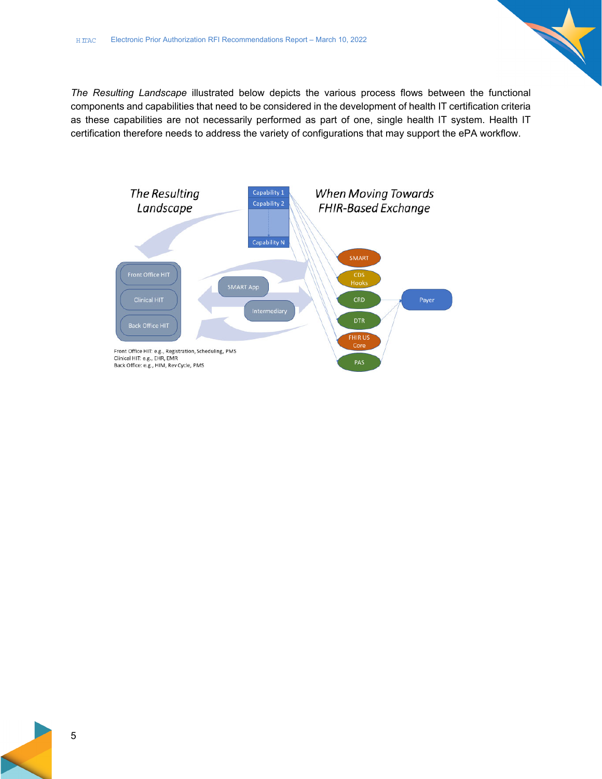*The Resulting Landscape* illustrated below depicts the various process flows between the functional components and capabilities that need to be considered in the development of health IT certification criteria as these capabilities are not necessarily performed as part of one, single health IT system. Health IT certification therefore needs to address the variety of configurations that may support the ePA workflow.

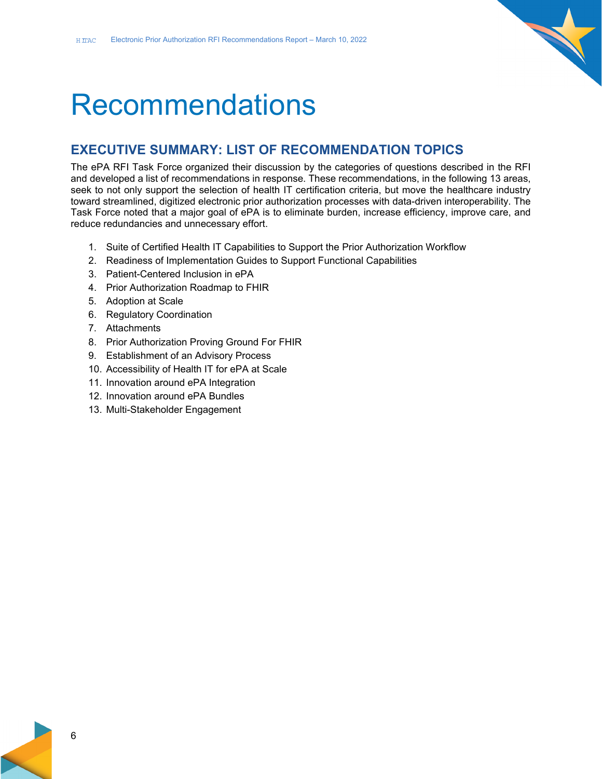

# **Recommendations**

### **EXECUTIVE SUMMARY: LIST OF RECOMMENDATION TOPICS**

The ePA RFI Task Force organized their discussion by the categories of questions described in the RFI and developed a list of recommendations in response. These recommendations, in the following 13 areas, seek to not only support the selection of health IT certification criteria, but move the healthcare industry toward streamlined, digitized electronic prior authorization processes with data-driven interoperability. The Task Force noted that a major goal of ePA is to eliminate burden, increase efficiency, improve care, and reduce redundancies and unnecessary effort.

- 1. Suite of Certified Health IT Capabilities to Support the Prior Authorization Workflow
- 2. Readiness of Implementation Guides to Support Functional Capabilities
- 3. Patient-Centered Inclusion in ePA
- 4. Prior Authorization Roadmap to FHIR
- 5. Adoption at Scale
- 6. Regulatory Coordination
- 7. Attachments
- 8. Prior Authorization Proving Ground For FHIR
- 9. Establishment of an Advisory Process
- 10. Accessibility of Health IT for ePA at Scale
- 11. Innovation around ePA Integration
- 12. Innovation around ePA Bundles
- 13. Multi-Stakeholder Engagement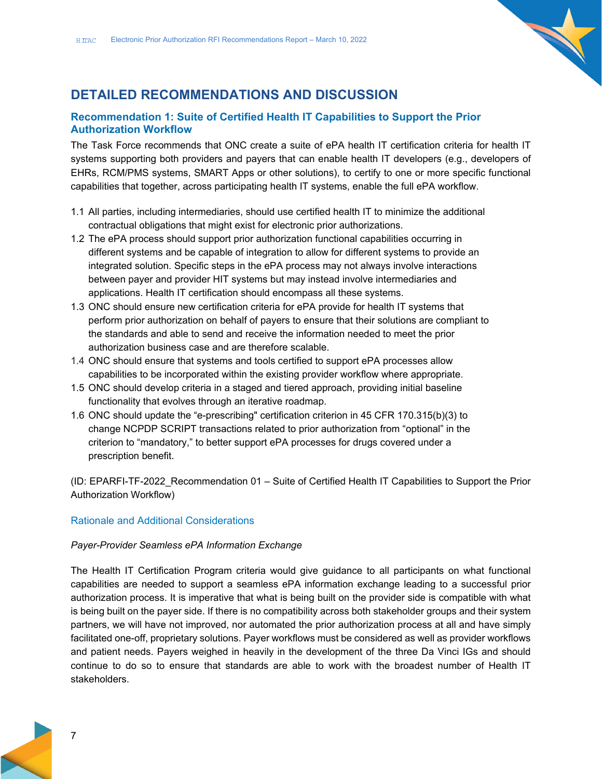

# **DETAILED RECOMMENDATIONS AND DISCUSSION**

#### **Recommendation 1: Suite of Certified Health IT Capabilities to Support the Prior Authorization Workflow**

The Task Force recommends that ONC create a suite of ePA health IT certification criteria for health IT systems supporting both providers and payers that can enable health IT developers (e.g., developers of EHRs, RCM/PMS systems, SMART Apps or other solutions), to certify to one or more specific functional capabilities that together, across participating health IT systems, enable the full ePA workflow.

- 1.1 All parties, including intermediaries, should use certified health IT to minimize the additional contractual obligations that might exist for electronic prior authorizations.
- 1.2 The ePA process should support prior authorization functional capabilities occurring in different systems and be capable of integration to allow for different systems to provide an integrated solution. Specific steps in the ePA process may not always involve interactions between payer and provider HIT systems but may instead involve intermediaries and applications. Health IT certification should encompass all these systems.
- 1.3 ONC should ensure new certification criteria for ePA provide for health IT systems that perform prior authorization on behalf of payers to ensure that their solutions are compliant to the standards and able to send and receive the information needed to meet the prior authorization business case and are therefore scalable.
- 1.4 ONC should ensure that systems and tools certified to support ePA processes allow capabilities to be incorporated within the existing provider workflow where appropriate.
- 1.5 ONC should develop criteria in a staged and tiered approach, providing initial baseline functionality that evolves through an iterative roadmap.
- 1.6 ONC should update the "e-prescribing" certification criterion in 45 CFR 170.315(b)(3) to change NCPDP SCRIPT transactions related to prior authorization from "optional" in the criterion to "mandatory," to better support ePA processes for drugs covered under a prescription benefit.

(ID: EPARFI-TF-2022\_Recommendation 01 – Suite of Certified Health IT Capabilities to Support the Prior Authorization Workflow)

### Rationale and Additional Considerations

#### *Payer-Provider Seamless ePA Information Exchange*

The Health IT Certification Program criteria would give guidance to all participants on what functional capabilities are needed to support a seamless ePA information exchange leading to a successful prior authorization process. It is imperative that what is being built on the provider side is compatible with what is being built on the payer side. If there is no compatibility across both stakeholder groups and their system partners, we will have not improved, nor automated the prior authorization process at all and have simply facilitated one-off, proprietary solutions. Payer workflows must be considered as well as provider workflows and patient needs. Payers weighed in heavily in the development of the three Da Vinci IGs and should continue to do so to ensure that standards are able to work with the broadest number of Health IT stakeholders.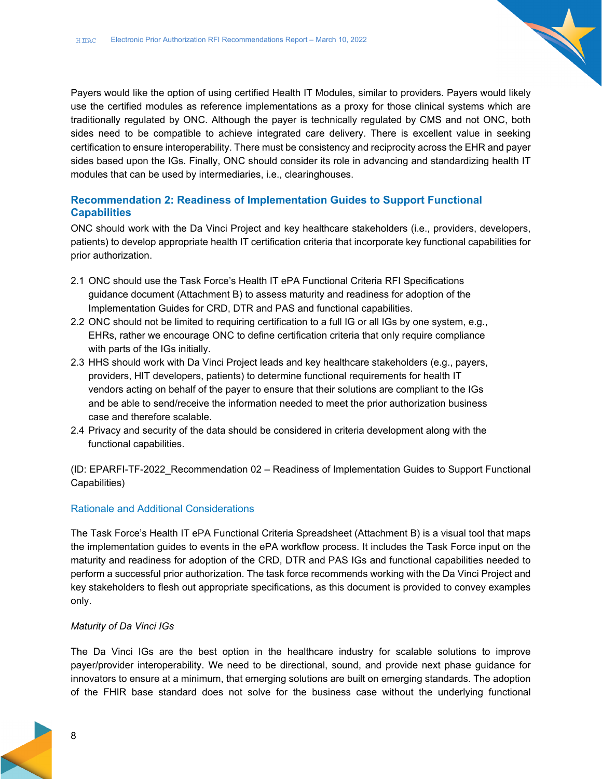Payers would like the option of using certified Health IT Modules, similar to providers. Payers would likely use the certified modules as reference implementations as a proxy for those clinical systems which are traditionally regulated by ONC. Although the payer is technically regulated by CMS and not ONC, both sides need to be compatible to achieve integrated care delivery. There is excellent value in seeking certification to ensure interoperability. There must be consistency and reciprocity across the EHR and payer sides based upon the IGs. Finally, ONC should consider its role in advancing and standardizing health IT modules that can be used by intermediaries, i.e., clearinghouses.

#### **Recommendation 2: Readiness of Implementation Guides to Support Functional Capabilities**

ONC should work with the Da Vinci Project and key healthcare stakeholders (i.e., providers, developers, patients) to develop appropriate health IT certification criteria that incorporate key functional capabilities for prior authorization.

- 2.1 ONC should use the Task Force's Health IT ePA Functional Criteria RFI Specifications guidance document (Attachment B) to assess maturity and readiness for adoption of the Implementation Guides for CRD, DTR and PAS and functional capabilities.
- 2.2 ONC should not be limited to requiring certification to a full IG or all IGs by one system, e.g., EHRs, rather we encourage ONC to define certification criteria that only require compliance with parts of the IGs initially.
- 2.3 HHS should work with Da Vinci Project leads and key healthcare stakeholders (e.g., payers, providers, HIT developers, patients) to determine functional requirements for health IT vendors acting on behalf of the payer to ensure that their solutions are compliant to the IGs and be able to send/receive the information needed to meet the prior authorization business case and therefore scalable.
- 2.4 Privacy and security of the data should be considered in criteria development along with the functional capabilities.

(ID: EPARFI-TF-2022\_Recommendation 02 – Readiness of Implementation Guides to Support Functional Capabilities)

#### Rationale and Additional Considerations

The Task Force's Health IT ePA Functional Criteria Spreadsheet (Attachment B) is a visual tool that maps the implementation guides to events in the ePA workflow process. It includes the Task Force input on the maturity and readiness for adoption of the CRD, DTR and PAS IGs and functional capabilities needed to perform a successful prior authorization. The task force recommends working with the Da Vinci Project and key stakeholders to flesh out appropriate specifications, as this document is provided to convey examples only.

#### *Maturity of Da Vinci IGs*

The Da Vinci IGs are the best option in the healthcare industry for scalable solutions to improve payer/provider interoperability. We need to be directional, sound, and provide next phase guidance for innovators to ensure at a minimum, that emerging solutions are built on emerging standards. The adoption of the FHIR base standard does not solve for the business case without the underlying functional

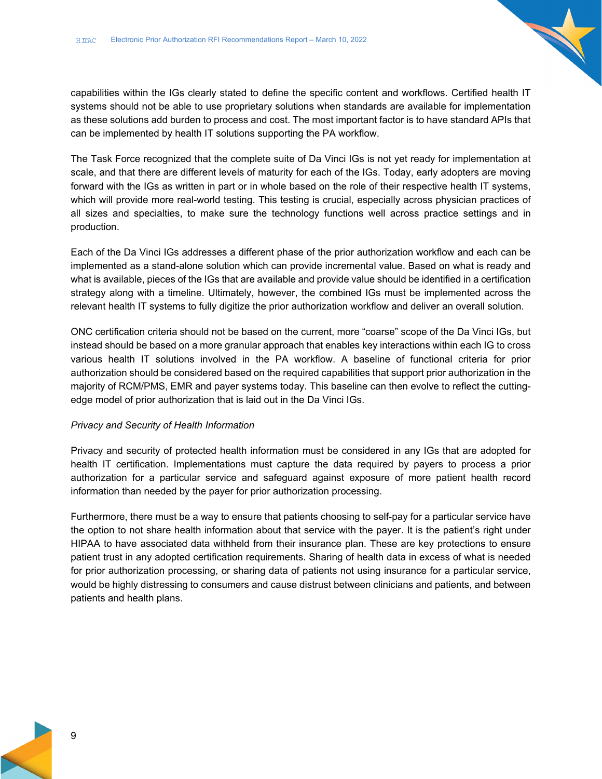capabilities within the IGs clearly stated to define the specific content and workflows. Certified health IT systems should not be able to use proprietary solutions when standards are available for implementation as these solutions add burden to process and cost. The most important factor is to have standard APIs that can be implemented by health IT solutions supporting the PA workflow.

The Task Force recognized that the complete suite of Da Vinci IGs is not yet ready for implementation at scale, and that there are different levels of maturity for each of the IGs. Today, early adopters are moving forward with the IGs as written in part or in whole based on the role of their respective health IT systems, which will provide more real-world testing. This testing is crucial, especially across physician practices of all sizes and specialties, to make sure the technology functions well across practice settings and in production.

Each of the Da Vinci IGs addresses a different phase of the prior authorization workflow and each can be implemented as a stand-alone solution which can provide incremental value. Based on what is ready and what is available, pieces of the IGs that are available and provide value should be identified in a certification strategy along with a timeline. Ultimately, however, the combined IGs must be implemented across the relevant health IT systems to fully digitize the prior authorization workflow and deliver an overall solution.

ONC certification criteria should not be based on the current, more "coarse" scope of the Da Vinci IGs, but instead should be based on a more granular approach that enables key interactions within each IG to cross various health IT solutions involved in the PA workflow. A baseline of functional criteria for prior authorization should be considered based on the required capabilities that support prior authorization in the majority of RCM/PMS, EMR and payer systems today. This baseline can then evolve to reflect the cuttingedge model of prior authorization that is laid out in the Da Vinci IGs.

#### *Privacy and Security of Health Information*

Privacy and security of protected health information must be considered in any IGs that are adopted for health IT certification. Implementations must capture the data required by payers to process a prior authorization for a particular service and safeguard against exposure of more patient health record information than needed by the payer for prior authorization processing.

Furthermore, there must be a way to ensure that patients choosing to self-pay for a particular service have the option to not share health information about that service with the payer. It is the patient's right under HIPAA to have associated data withheld from their insurance plan. These are key protections to ensure patient trust in any adopted certification requirements. Sharing of health data in excess of what is needed for prior authorization processing, or sharing data of patients not using insurance for a particular service, would be highly distressing to consumers and cause distrust between clinicians and patients, and between patients and health plans.

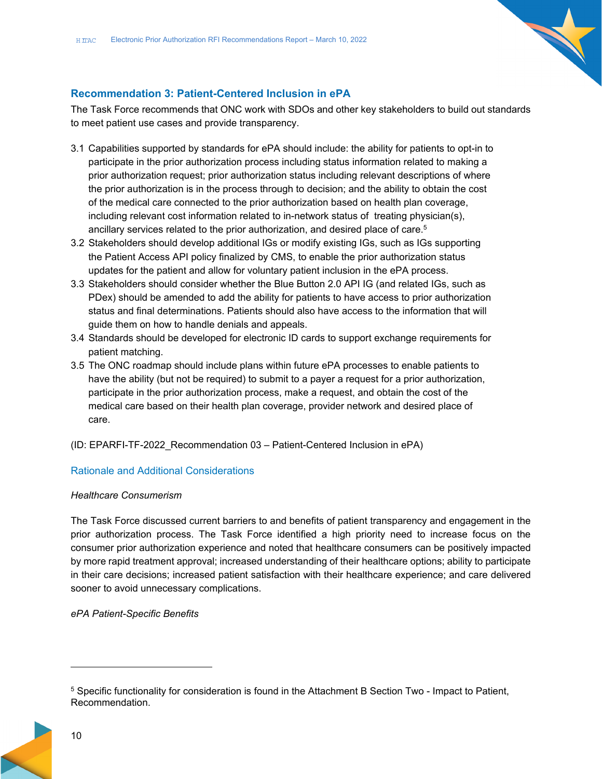

#### **Recommendation 3: Patient-Centered Inclusion in ePA**

The Task Force recommends that ONC work with SDOs and other key stakeholders to build out standards to meet patient use cases and provide transparency.

- 3.1 Capabilities supported by standards for ePA should include: the ability for patients to opt-in to participate in the prior authorization process including status information related to making a prior authorization request; prior authorization status including relevant descriptions of where the prior authorization is in the process through to decision; and the ability to obtain the cost of the medical care connected to the prior authorization based on health plan coverage, including relevant cost information related to in-network status of treating physician(s), ancillary services related to the prior authorization, and desired place of care.<sup>5</sup>
- 3.2 Stakeholders should develop additional IGs or modify existing IGs, such as IGs supporting the Patient Access API policy finalized by CMS, to enable the prior authorization status updates for the patient and allow for voluntary patient inclusion in the ePA process.
- 3.3 Stakeholders should consider whether the Blue Button 2.0 API IG (and related IGs, such as PDex) should be amended to add the ability for patients to have access to prior authorization status and final determinations. Patients should also have access to the information that will guide them on how to handle denials and appeals.
- 3.4 Standards should be developed for electronic ID cards to support exchange requirements for patient matching.
- 3.5 The ONC roadmap should include plans within future ePA processes to enable patients to have the ability (but not be required) to submit to a payer a request for a prior authorization, participate in the prior authorization process, make a request, and obtain the cost of the medical care based on their health plan coverage, provider network and desired place of care.
- (ID: EPARFI-TF-2022\_Recommendation 03 Patient-Centered Inclusion in ePA)

#### Rationale and Additional Considerations

#### *Healthcare Consumerism*

The Task Force discussed current barriers to and benefits of patient transparency and engagement in the prior authorization process. The Task Force identified a high priority need to increase focus on the consumer prior authorization experience and noted that healthcare consumers can be positively impacted by more rapid treatment approval; increased understanding of their healthcare options; ability to participate in their care decisions; increased patient satisfaction with their healthcare experience; and care delivered sooner to avoid unnecessary complications.

### *ePA Patient-Specific Benefits*

 $5$  Specific functionality for consideration is found in the Attachment B Section Two - Impact to Patient, Recommendation.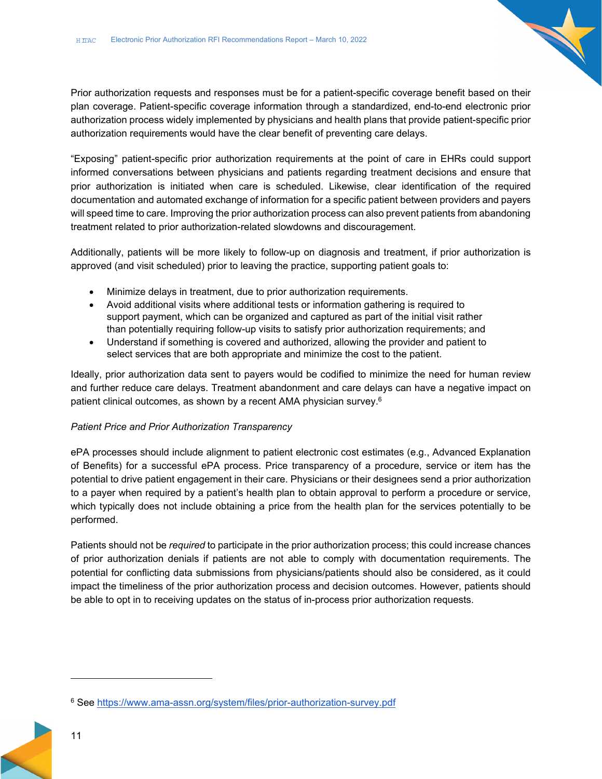Prior authorization requests and responses must be for a patient-specific coverage benefit based on their plan coverage. Patient-specific coverage information through a standardized, end-to-end electronic prior authorization process widely implemented by physicians and health plans that provide patient-specific prior authorization requirements would have the clear benefit of preventing care delays.

"Exposing" patient-specific prior authorization requirements at the point of care in EHRs could support informed conversations between physicians and patients regarding treatment decisions and ensure that prior authorization is initiated when care is scheduled. Likewise, clear identification of the required documentation and automated exchange of information for a specific patient between providers and payers will speed time to care. Improving the prior authorization process can also prevent patients from abandoning treatment related to prior authorization-related slowdowns and discouragement.

Additionally, patients will be more likely to follow-up on diagnosis and treatment, if prior authorization is approved (and visit scheduled) prior to leaving the practice, supporting patient goals to:

- Minimize delays in treatment, due to prior authorization requirements.
- Avoid additional visits where additional tests or information gathering is required to support payment, which can be organized and captured as part of the initial visit rather than potentially requiring follow-up visits to satisfy prior authorization requirements; and
- Understand if something is covered and authorized, allowing the provider and patient to select services that are both appropriate and minimize the cost to the patient.

Ideally, prior authorization data sent to payers would be codified to minimize the need for human review and further reduce care delays. Treatment abandonment and care delays can have a negative impact on patient clinical outcomes, as shown by a recent AMA physician survey.6

#### *Patient Price and Prior Authorization Transparency*

ePA processes should include alignment to patient electronic cost estimates (e.g., Advanced Explanation of Benefits) for a successful ePA process. Price transparency of a procedure, service or item has the potential to drive patient engagement in their care. Physicians or their designees send a prior authorization to a payer when required by a patient's health plan to obtain approval to perform a procedure or service, which typically does not include obtaining a price from the health plan for the services potentially to be performed.

Patients should not be *required* to participate in the prior authorization process; this could increase chances of prior authorization denials if patients are not able to comply with documentation requirements. The potential for conflicting data submissions from physicians/patients should also be considered, as it could impact the timeliness of the prior authorization process and decision outcomes. However, patients should be able to opt in to receiving updates on the status of in-process prior authorization requests.

<sup>6</sup> See https://www.ama-assn.org/system/files/prior-authorization-survey.pdf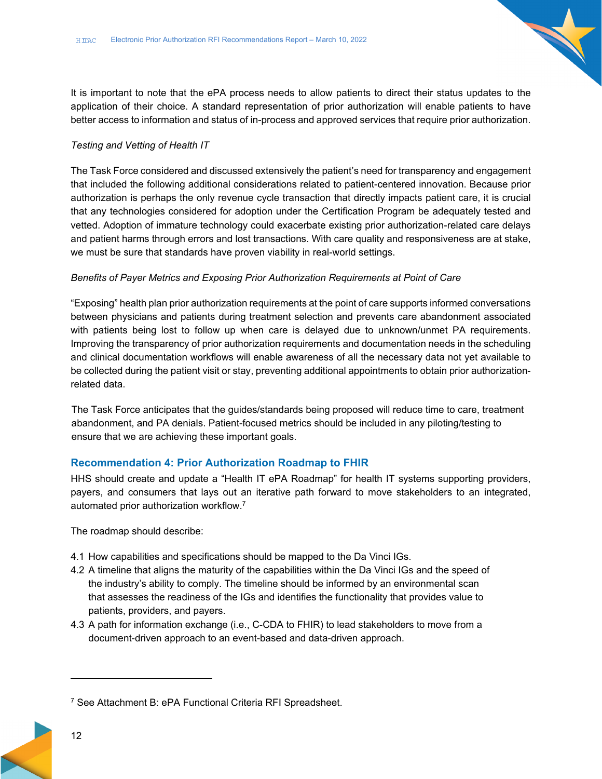It is important to note that the ePA process needs to allow patients to direct their status updates to the application of their choice. A standard representation of prior authorization will enable patients to have better access to information and status of in-process and approved services that require prior authorization.

#### *Testing and Vetting of Health IT*

The Task Force considered and discussed extensively the patient's need for transparency and engagement that included the following additional considerations related to patient-centered innovation. Because prior authorization is perhaps the only revenue cycle transaction that directly impacts patient care, it is crucial that any technologies considered for adoption under the Certification Program be adequately tested and vetted. Adoption of immature technology could exacerbate existing prior authorization-related care delays and patient harms through errors and lost transactions. With care quality and responsiveness are at stake, we must be sure that standards have proven viability in real-world settings.

#### *Benefits of Payer Metrics and Exposing Prior Authorization Requirements at Point of Care*

"Exposing" health plan prior authorization requirements at the point of care supports informed conversations between physicians and patients during treatment selection and prevents care abandonment associated with patients being lost to follow up when care is delayed due to unknown/unmet PA requirements. Improving the transparency of prior authorization requirements and documentation needs in the scheduling and clinical documentation workflows will enable awareness of all the necessary data not yet available to be collected during the patient visit or stay, preventing additional appointments to obtain prior authorizationrelated data.

The Task Force anticipates that the guides/standards being proposed will reduce time to care, treatment abandonment, and PA denials. Patient-focused metrics should be included in any piloting/testing to ensure that we are achieving these important goals.

#### **Recommendation 4: Prior Authorization Roadmap to FHIR**

HHS should create and update a "Health IT ePA Roadmap" for health IT systems supporting providers, payers, and consumers that lays out an iterative path forward to move stakeholders to an integrated, automated prior authorization workflow.7

The roadmap should describe:

- 4.1 How capabilities and specifications should be mapped to the Da Vinci IGs.
- 4.2 A timeline that aligns the maturity of the capabilities within the Da Vinci IGs and the speed of the industry's ability to comply. The timeline should be informed by an environmental scan that assesses the readiness of the IGs and identifies the functionality that provides value to patients, providers, and payers.
- 4.3 A path for information exchange (i.e., C-CDA to FHIR) to lead stakeholders to move from a document-driven approach to an event-based and data-driven approach.

<sup>7</sup> See Attachment B: ePA Functional Criteria RFI Spreadsheet.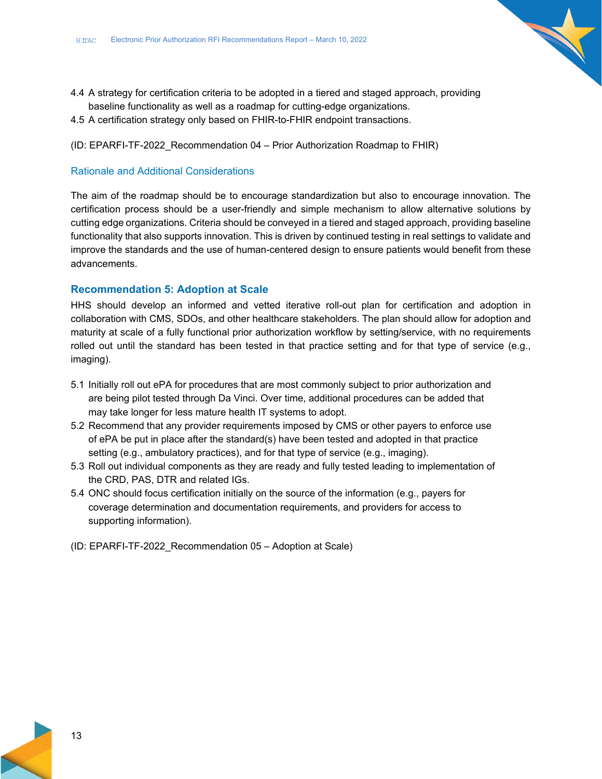- 
- 4.4 A strategy for certification criteria to be adopted in a tiered and staged approach, providing baseline functionality as well as a roadmap for cutting-edge organizations.
- 4.5 A certification strategy only based on FHIR-to-FHIR endpoint transactions.
- (ID: EPARFI-TF-2022\_Recommendation 04 Prior Authorization Roadmap to FHIR)

#### Rationale and Additional Considerations

The aim of the roadmap should be to encourage standardization but also to encourage innovation. The certification process should be a user-friendly and simple mechanism to allow alternative solutions by cutting edge organizations. Criteria should be conveyed in a tiered and staged approach, providing baseline functionality that also supports innovation. This is driven by continued testing in real settings to validate and improve the standards and the use of human-centered design to ensure patients would benefit from these advancements.

#### **Recommendation 5: Adoption at Scale**

HHS should develop an informed and vetted iterative roll-out plan for certification and adoption in collaboration with CMS, SDOs, and other healthcare stakeholders. The plan should allow for adoption and maturity at scale of a fully functional prior authorization workflow by setting/service, with no requirements rolled out until the standard has been tested in that practice setting and for that type of service (e.g., imaging).

- 5.1 Initially roll out ePA for procedures that are most commonly subject to prior authorization and are being pilot tested through Da Vinci. Over time, additional procedures can be added that may take longer for less mature health IT systems to adopt.
- 5.2 Recommend that any provider requirements imposed by CMS or other payers to enforce use of ePA be put in place after the standard(s) have been tested and adopted in that practice setting (e.g., ambulatory practices), and for that type of service (e.g., imaging).
- 5.3 Roll out individual components as they are ready and fully tested leading to implementation of the CRD, PAS, DTR and related IGs.
- 5.4 ONC should focus certification initially on the source of the information (e.g., payers for coverage determination and documentation requirements, and providers for access to supporting information).
- (ID: EPARFI-TF-2022\_Recommendation 05 Adoption at Scale)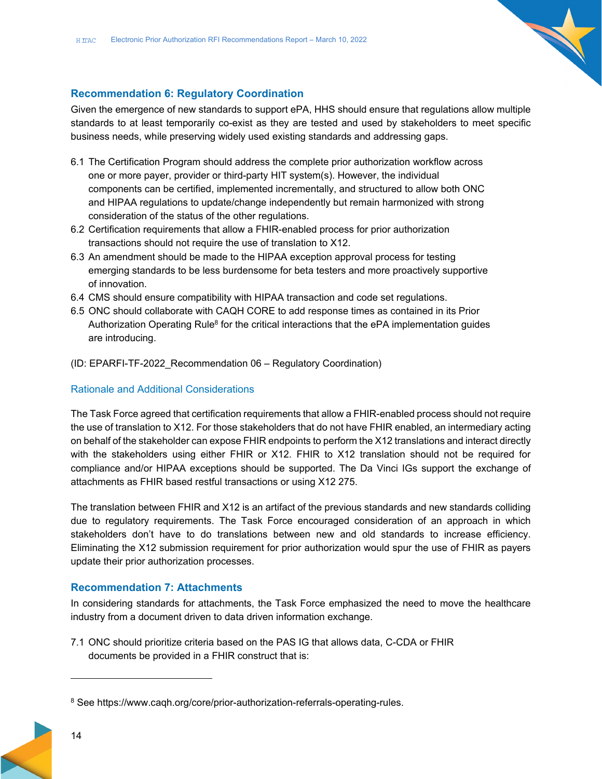

#### **Recommendation 6: Regulatory Coordination**

Given the emergence of new standards to support ePA, HHS should ensure that regulations allow multiple standards to at least temporarily co-exist as they are tested and used by stakeholders to meet specific business needs, while preserving widely used existing standards and addressing gaps.

- 6.1 The Certification Program should address the complete prior authorization workflow across one or more payer, provider or third-party HIT system(s). However, the individual components can be certified, implemented incrementally, and structured to allow both ONC and HIPAA regulations to update/change independently but remain harmonized with strong consideration of the status of the other regulations.
- 6.2 Certification requirements that allow a FHIR-enabled process for prior authorization transactions should not require the use of translation to X12.
- 6.3 An amendment should be made to the HIPAA exception approval process for testing emerging standards to be less burdensome for beta testers and more proactively supportive of innovation.
- 6.4 CMS should ensure compatibility with HIPAA transaction and code set regulations.
- 6.5 ONC should collaborate with CAQH CORE to add response times as contained in its Prior Authorization Operating Rule<sup>8</sup> for the critical interactions that the ePA implementation guides are introducing.
- (ID: EPARFI-TF-2022\_Recommendation 06 Regulatory Coordination)

#### Rationale and Additional Considerations

The Task Force agreed that certification requirements that allow a FHIR-enabled process should not require the use of translation to X12. For those stakeholders that do not have FHIR enabled, an intermediary acting on behalf of the stakeholder can expose FHIR endpoints to perform the X12 translations and interact directly with the stakeholders using either FHIR or X12. FHIR to X12 translation should not be required for compliance and/or HIPAA exceptions should be supported. The Da Vinci IGs support the exchange of attachments as FHIR based restful transactions or using X12 275.

The translation between FHIR and X12 is an artifact of the previous standards and new standards colliding due to regulatory requirements. The Task Force encouraged consideration of an approach in which stakeholders don't have to do translations between new and old standards to increase efficiency. Eliminating the X12 submission requirement for prior authorization would spur the use of FHIR as payers update their prior authorization processes.

#### **Recommendation 7: Attachments**

In considering standards for attachments, the Task Force emphasized the need to move the healthcare industry from a document driven to data driven information exchange.

7.1 ONC should prioritize criteria based on the PAS IG that allows data, C-CDA or FHIR documents be provided in a FHIR construct that is:

<sup>&</sup>lt;sup>8</sup> See https://www.caqh.org/core/prior-authorization-referrals-operating-rules.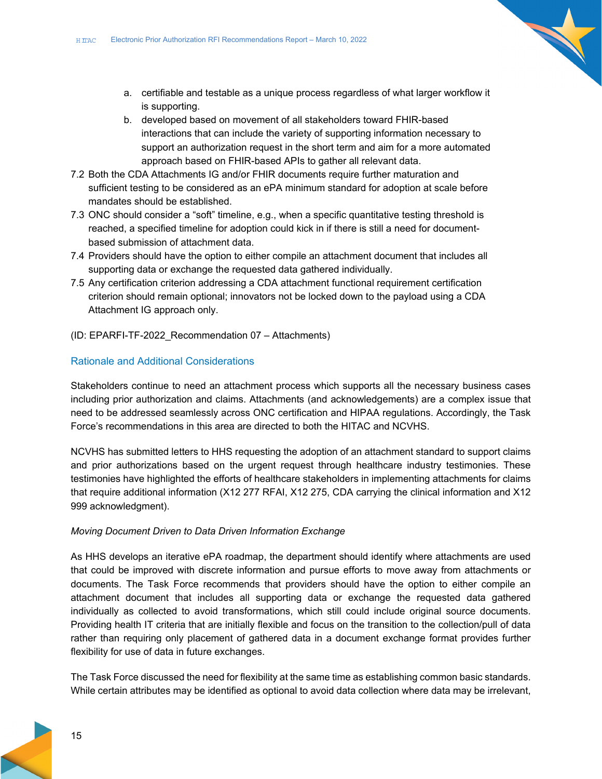- a. certifiable and testable as a unique process regardless of what larger workflow it is supporting.
- b. developed based on movement of all stakeholders toward FHIR-based interactions that can include the variety of supporting information necessary to support an authorization request in the short term and aim for a more automated approach based on FHIR-based APIs to gather all relevant data.
- 7.2 Both the CDA Attachments IG and/or FHIR documents require further maturation and sufficient testing to be considered as an ePA minimum standard for adoption at scale before mandates should be established.
- 7.3 ONC should consider a "soft" timeline, e.g., when a specific quantitative testing threshold is reached, a specified timeline for adoption could kick in if there is still a need for documentbased submission of attachment data.
- 7.4 Providers should have the option to either compile an attachment document that includes all supporting data or exchange the requested data gathered individually.
- 7.5 Any certification criterion addressing a CDA attachment functional requirement certification criterion should remain optional; innovators not be locked down to the payload using a CDA Attachment IG approach only.
- (ID: EPARFI-TF-2022\_Recommendation 07 Attachments)

#### Rationale and Additional Considerations

Stakeholders continue to need an attachment process which supports all the necessary business cases including prior authorization and claims. Attachments (and acknowledgements) are a complex issue that need to be addressed seamlessly across ONC certification and HIPAA regulations. Accordingly, the Task Force's recommendations in this area are directed to both the HITAC and NCVHS.

NCVHS has submitted letters to HHS requesting the adoption of an attachment standard to support claims and prior authorizations based on the urgent request through healthcare industry testimonies. These testimonies have highlighted the efforts of healthcare stakeholders in implementing attachments for claims that require additional information (X12 277 RFAI, X12 275, CDA carrying the clinical information and X12 999 acknowledgment).

#### *Moving Document Driven to Data Driven Information Exchange*

As HHS develops an iterative ePA roadmap, the department should identify where attachments are used that could be improved with discrete information and pursue efforts to move away from attachments or documents. The Task Force recommends that providers should have the option to either compile an attachment document that includes all supporting data or exchange the requested data gathered individually as collected to avoid transformations, which still could include original source documents. Providing health IT criteria that are initially flexible and focus on the transition to the collection/pull of data rather than requiring only placement of gathered data in a document exchange format provides further flexibility for use of data in future exchanges.

The Task Force discussed the need for flexibility at the same time as establishing common basic standards. While certain attributes may be identified as optional to avoid data collection where data may be irrelevant,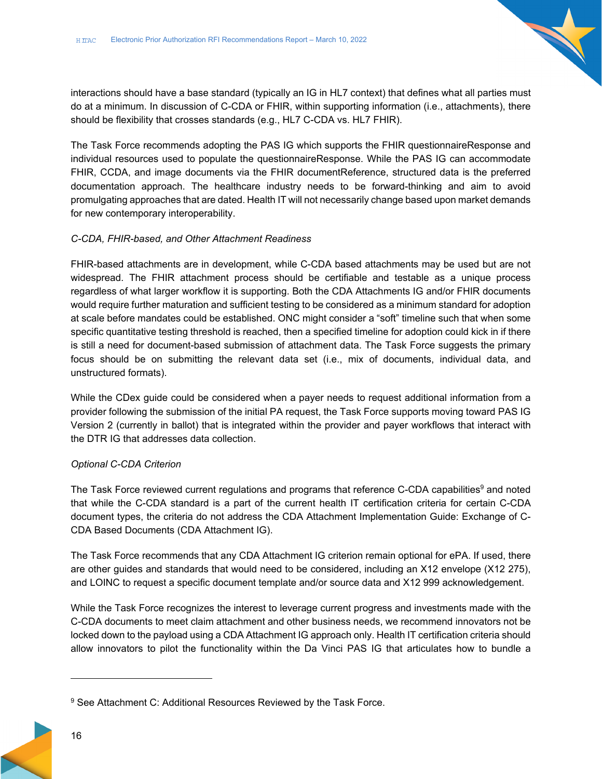interactions should have a base standard (typically an IG in HL7 context) that defines what all parties must do at a minimum. In discussion of C-CDA or FHIR, within supporting information (i.e., attachments), there should be flexibility that crosses standards (e.g., HL7 C-CDA vs. HL7 FHIR).

The Task Force recommends adopting the PAS IG which supports the FHIR questionnaireResponse and individual resources used to populate the questionnaireResponse. While the PAS IG can accommodate FHIR, CCDA, and image documents via the FHIR documentReference, structured data is the preferred documentation approach. The healthcare industry needs to be forward-thinking and aim to avoid promulgating approaches that are dated. Health IT will not necessarily change based upon market demands for new contemporary interoperability.

#### *C-CDA, FHIR-based, and Other Attachment Readiness*

FHIR-based attachments are in development, while C-CDA based attachments may be used but are not widespread. The FHIR attachment process should be certifiable and testable as a unique process regardless of what larger workflow it is supporting. Both the CDA Attachments IG and/or FHIR documents would require further maturation and sufficient testing to be considered as a minimum standard for adoption at scale before mandates could be established. ONC might consider a "soft" timeline such that when some specific quantitative testing threshold is reached, then a specified timeline for adoption could kick in if there is still a need for document-based submission of attachment data. The Task Force suggests the primary focus should be on submitting the relevant data set (i.e., mix of documents, individual data, and unstructured formats).

While the CDex guide could be considered when a payer needs to request additional information from a provider following the submission of the initial PA request, the Task Force supports moving toward PAS IG Version 2 (currently in ballot) that is integrated within the provider and payer workflows that interact with the DTR IG that addresses data collection.

#### *Optional C-CDA Criterion*

The Task Force reviewed current regulations and programs that reference C-CDA capabilities<sup>9</sup> and noted that while the C-CDA standard is a part of the current health IT certification criteria for certain C-CDA document types, the criteria do not address the CDA Attachment Implementation Guide: Exchange of C-CDA Based Documents (CDA Attachment IG).

The Task Force recommends that any CDA Attachment IG criterion remain optional for ePA. If used, there are other guides and standards that would need to be considered, including an X12 envelope (X12 275), and LOINC to request a specific document template and/or source data and X12 999 acknowledgement.

While the Task Force recognizes the interest to leverage current progress and investments made with the C-CDA documents to meet claim attachment and other business needs, we recommend innovators not be locked down to the payload using a CDA Attachment IG approach only. Health IT certification criteria should allow innovators to pilot the functionality within the Da Vinci PAS IG that articulates how to bundle a

<sup>&</sup>lt;sup>9</sup> See Attachment C: Additional Resources Reviewed by the Task Force.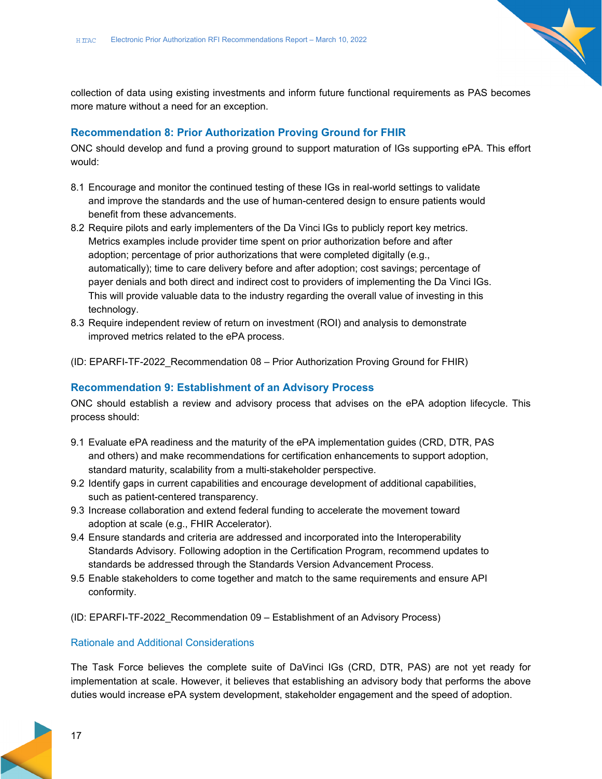collection of data using existing investments and inform future functional requirements as PAS becomes more mature without a need for an exception.

#### **Recommendation 8: Prior Authorization Proving Ground for FHIR**

ONC should develop and fund a proving ground to support maturation of IGs supporting ePA. This effort would:

- 8.1 Encourage and monitor the continued testing of these IGs in real-world settings to validate and improve the standards and the use of human-centered design to ensure patients would benefit from these advancements.
- 8.2 Require pilots and early implementers of the Da Vinci IGs to publicly report key metrics. Metrics examples include provider time spent on prior authorization before and after adoption; percentage of prior authorizations that were completed digitally (e.g., automatically); time to care delivery before and after adoption; cost savings; percentage of payer denials and both direct and indirect cost to providers of implementing the Da Vinci IGs. This will provide valuable data to the industry regarding the overall value of investing in this technology.
- 8.3 Require independent review of return on investment (ROI) and analysis to demonstrate improved metrics related to the ePA process.
- (ID: EPARFI-TF-2022\_Recommendation 08 Prior Authorization Proving Ground for FHIR)

#### **Recommendation 9: Establishment of an Advisory Process**

ONC should establish a review and advisory process that advises on the ePA adoption lifecycle. This process should:

- 9.1 Evaluate ePA readiness and the maturity of the ePA implementation guides (CRD, DTR, PAS and others) and make recommendations for certification enhancements to support adoption, standard maturity, scalability from a multi-stakeholder perspective.
- 9.2 Identify gaps in current capabilities and encourage development of additional capabilities, such as patient-centered transparency.
- 9.3 Increase collaboration and extend federal funding to accelerate the movement toward adoption at scale (e.g., FHIR Accelerator).
- 9.4 Ensure standards and criteria are addressed and incorporated into the Interoperability Standards Advisory. Following adoption in the Certification Program, recommend updates to standards be addressed through the Standards Version Advancement Process.
- 9.5 Enable stakeholders to come together and match to the same requirements and ensure API conformity.
- (ID: EPARFI-TF-2022\_Recommendation 09 Establishment of an Advisory Process)

#### Rationale and Additional Considerations

The Task Force believes the complete suite of DaVinci IGs (CRD, DTR, PAS) are not yet ready for implementation at scale. However, it believes that establishing an advisory body that performs the above duties would increase ePA system development, stakeholder engagement and the speed of adoption.

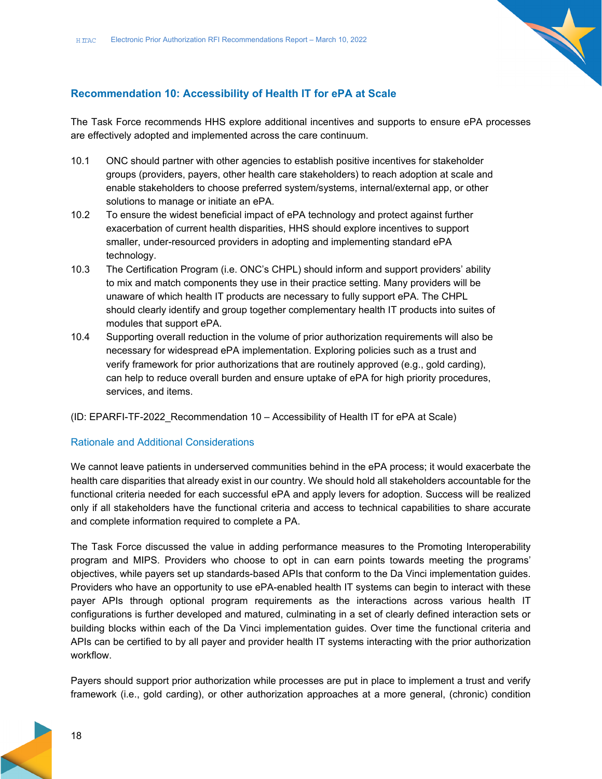

### **Recommendation 10: Accessibility of Health IT for ePA at Scale**

The Task Force recommends HHS explore additional incentives and supports to ensure ePA processes are effectively adopted and implemented across the care continuum.

- 10.1 ONC should partner with other agencies to establish positive incentives for stakeholder groups (providers, payers, other health care stakeholders) to reach adoption at scale and enable stakeholders to choose preferred system/systems, internal/external app, or other solutions to manage or initiate an ePA.
- 10.2 To ensure the widest beneficial impact of ePA technology and protect against further exacerbation of current health disparities, HHS should explore incentives to support smaller, under-resourced providers in adopting and implementing standard ePA technology.
- 10.3 The Certification Program (i.e. ONC's CHPL) should inform and support providers' ability to mix and match components they use in their practice setting. Many providers will be unaware of which health IT products are necessary to fully support ePA. The CHPL should clearly identify and group together complementary health IT products into suites of modules that support ePA.
- 10.4 Supporting overall reduction in the volume of prior authorization requirements will also be necessary for widespread ePA implementation. Exploring policies such as a trust and verify framework for prior authorizations that are routinely approved (e.g., gold carding), can help to reduce overall burden and ensure uptake of ePA for high priority procedures, services, and items.

#### (ID: EPARFI-TF-2022\_Recommendation 10 – Accessibility of Health IT for ePA at Scale)

#### Rationale and Additional Considerations

We cannot leave patients in underserved communities behind in the ePA process; it would exacerbate the health care disparities that already exist in our country. We should hold all stakeholders accountable for the functional criteria needed for each successful ePA and apply levers for adoption. Success will be realized only if all stakeholders have the functional criteria and access to technical capabilities to share accurate and complete information required to complete a PA.

The Task Force discussed the value in adding performance measures to the Promoting Interoperability program and MIPS. Providers who choose to opt in can earn points towards meeting the programs' objectives, while payers set up standards-based APIs that conform to the Da Vinci implementation guides. Providers who have an opportunity to use ePA-enabled health IT systems can begin to interact with these payer APIs through optional program requirements as the interactions across various health IT configurations is further developed and matured, culminating in a set of clearly defined interaction sets or building blocks within each of the Da Vinci implementation guides. Over time the functional criteria and APIs can be certified to by all payer and provider health IT systems interacting with the prior authorization workflow.

Payers should support prior authorization while processes are put in place to implement a trust and verify framework (i.e., gold carding), or other authorization approaches at a more general, (chronic) condition

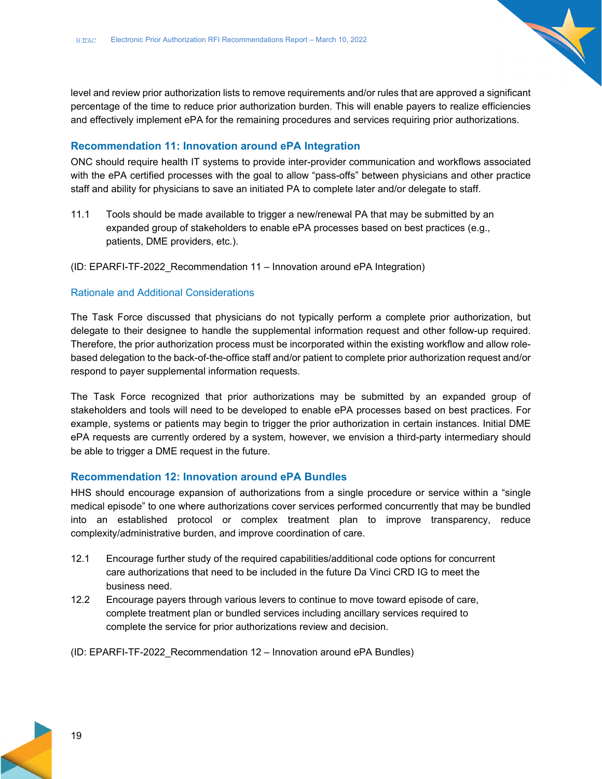level and review prior authorization lists to remove requirements and/or rules that are approved a significant percentage of the time to reduce prior authorization burden. This will enable payers to realize efficiencies and effectively implement ePA for the remaining procedures and services requiring prior authorizations.

#### **Recommendation 11: Innovation around ePA Integration**

ONC should require health IT systems to provide inter-provider communication and workflows associated with the ePA certified processes with the goal to allow "pass-offs" between physicians and other practice staff and ability for physicians to save an initiated PA to complete later and/or delegate to staff.

11.1 Tools should be made available to trigger a new/renewal PA that may be submitted by an expanded group of stakeholders to enable ePA processes based on best practices (e.g., patients, DME providers, etc.).

(ID: EPARFI-TF-2022\_Recommendation 11 – Innovation around ePA Integration)

#### Rationale and Additional Considerations

The Task Force discussed that physicians do not typically perform a complete prior authorization, but delegate to their designee to handle the supplemental information request and other follow-up required. Therefore, the prior authorization process must be incorporated within the existing workflow and allow rolebased delegation to the back-of-the-office staff and/or patient to complete prior authorization request and/or respond to payer supplemental information requests.

The Task Force recognized that prior authorizations may be submitted by an expanded group of stakeholders and tools will need to be developed to enable ePA processes based on best practices. For example, systems or patients may begin to trigger the prior authorization in certain instances. Initial DME ePA requests are currently ordered by a system, however, we envision a third-party intermediary should be able to trigger a DME request in the future.

#### **Recommendation 12: Innovation around ePA Bundles**

HHS should encourage expansion of authorizations from a single procedure or service within a "single medical episode" to one where authorizations cover services performed concurrently that may be bundled into an established protocol or complex treatment plan to improve transparency, reduce complexity/administrative burden, and improve coordination of care.

- 12.1 Encourage further study of the required capabilities/additional code options for concurrent care authorizations that need to be included in the future Da Vinci CRD IG to meet the business need.
- 12.2 Encourage payers through various levers to continue to move toward episode of care, complete treatment plan or bundled services including ancillary services required to complete the service for prior authorizations review and decision.
- (ID: EPARFI-TF-2022\_Recommendation 12 Innovation around ePA Bundles)

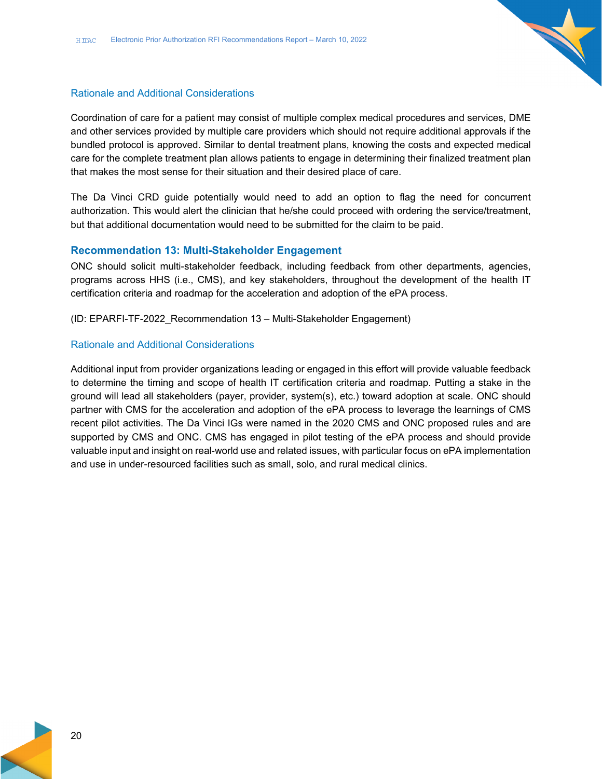

#### Rationale and Additional Considerations

Coordination of care for a patient may consist of multiple complex medical procedures and services, DME and other services provided by multiple care providers which should not require additional approvals if the bundled protocol is approved. Similar to dental treatment plans, knowing the costs and expected medical care for the complete treatment plan allows patients to engage in determining their finalized treatment plan that makes the most sense for their situation and their desired place of care.

The Da Vinci CRD guide potentially would need to add an option to flag the need for concurrent authorization. This would alert the clinician that he/she could proceed with ordering the service/treatment, but that additional documentation would need to be submitted for the claim to be paid.

#### **Recommendation 13: Multi-Stakeholder Engagement**

ONC should solicit multi-stakeholder feedback, including feedback from other departments, agencies, programs across HHS (i.e., CMS), and key stakeholders, throughout the development of the health IT certification criteria and roadmap for the acceleration and adoption of the ePA process.

(ID: EPARFI-TF-2022\_Recommendation 13 – Multi-Stakeholder Engagement)

#### Rationale and Additional Considerations

Additional input from provider organizations leading or engaged in this effort will provide valuable feedback to determine the timing and scope of health IT certification criteria and roadmap. Putting a stake in the ground will lead all stakeholders (payer, provider, system(s), etc.) toward adoption at scale. ONC should partner with CMS for the acceleration and adoption of the ePA process to leverage the learnings of CMS recent pilot activities. The Da Vinci IGs were named in the 2020 CMS and ONC proposed rules and are supported by CMS and ONC. CMS has engaged in pilot testing of the ePA process and should provide valuable input and insight on real-world use and related issues, with particular focus on ePA implementation and use in under-resourced facilities such as small, solo, and rural medical clinics.

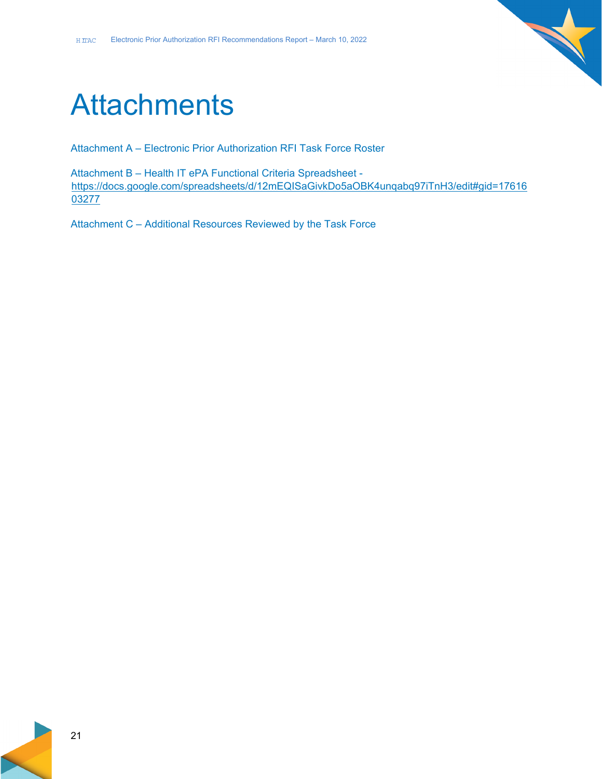

# **Attachments**

Attachment A – Electronic Prior Authorization RFI Task Force Roster

Attachment B – Health IT ePA Functional Criteria Spreadsheet https://docs.google.com/spreadsheets/d/12mEQISaGivkDo5aOBK4unqabq97iTnH3/edit#gid=17616 03277

Attachment C – Additional Resources Reviewed by the Task Force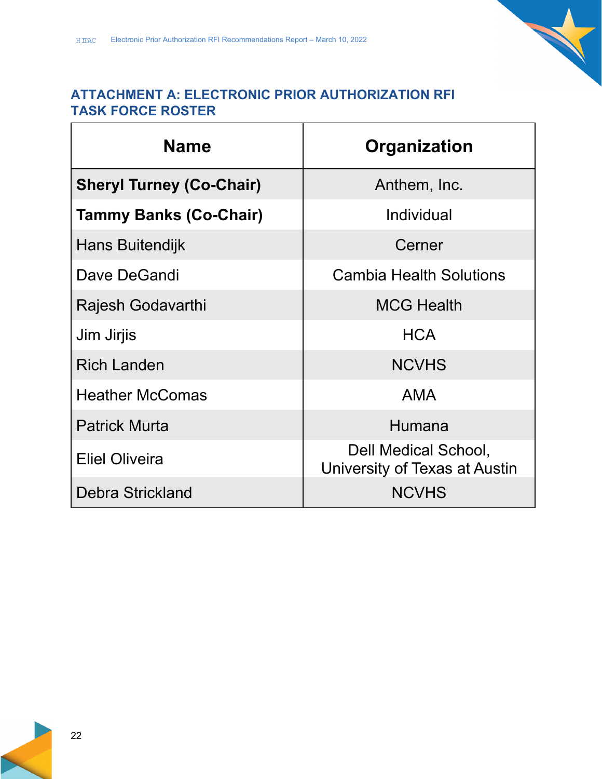### **ATTACHMENT A: ELECTRONIC PRIOR AUTHORIZATION RFI TASK FORCE ROSTER**

| <b>Name</b>                     | Organization                                          |  |  |
|---------------------------------|-------------------------------------------------------|--|--|
| <b>Sheryl Turney (Co-Chair)</b> | Anthem, Inc.                                          |  |  |
| <b>Tammy Banks (Co-Chair)</b>   | Individual                                            |  |  |
| Hans Buitendijk                 | Cerner                                                |  |  |
| Dave DeGandi                    | <b>Cambia Health Solutions</b>                        |  |  |
| Rajesh Godavarthi               | <b>MCG Health</b>                                     |  |  |
| Jim Jirjis                      | <b>HCA</b>                                            |  |  |
| <b>Rich Landen</b>              | <b>NCVHS</b>                                          |  |  |
| <b>Heather McComas</b>          | <b>AMA</b>                                            |  |  |
| <b>Patrick Murta</b>            | Humana                                                |  |  |
| <b>Eliel Oliveira</b>           | Dell Medical School,<br>University of Texas at Austin |  |  |
| Debra Strickland                | <b>NCVHS</b>                                          |  |  |

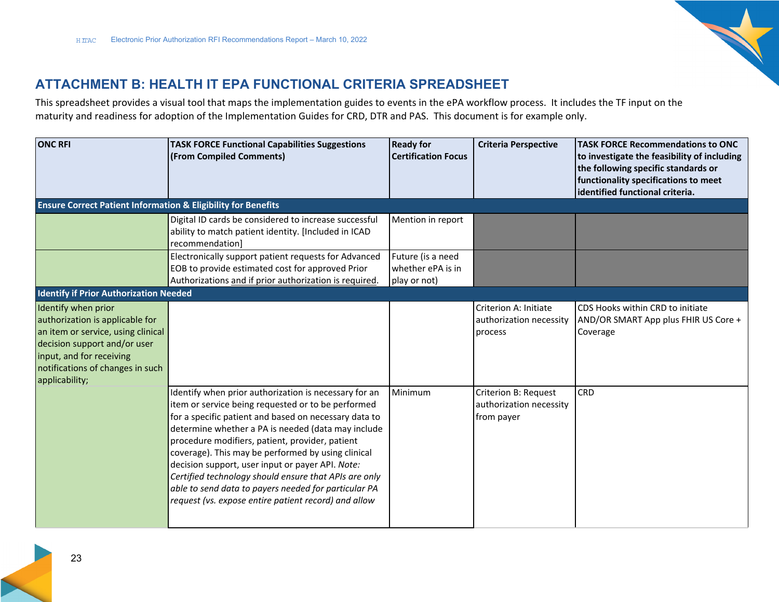

# **ATTACHMENT B: HEALTH IT EPA FUNCTIONAL CRITERIA SPREADSHEET**

This spreadsheet provides <sup>a</sup> visual tool that maps the implementation guides to events in the ePA workflow process. It includes the TF input on the maturity and readiness for adoption of the Implementation Guides for CRD, DTR and PAS. This document is for example only.

| <b>ONC RFI</b>                                                                                                                                                                                                 | <b>TASK FORCE Functional Capabilities Suggestions</b><br>(From Compiled Comments)                                                                                                                                                                                                                                                                                                                                                                                                                                                                                | <b>Ready for</b><br><b>Certification Focus</b>         | <b>Criteria Perspective</b>                                   | <b>TASK FORCE Recommendations to ONC</b><br>to investigate the feasibility of including<br>the following specific standards or<br>functionality specifications to meet<br>identified functional criteria. |
|----------------------------------------------------------------------------------------------------------------------------------------------------------------------------------------------------------------|------------------------------------------------------------------------------------------------------------------------------------------------------------------------------------------------------------------------------------------------------------------------------------------------------------------------------------------------------------------------------------------------------------------------------------------------------------------------------------------------------------------------------------------------------------------|--------------------------------------------------------|---------------------------------------------------------------|-----------------------------------------------------------------------------------------------------------------------------------------------------------------------------------------------------------|
| <b>Ensure Correct Patient Information &amp; Eligibility for Benefits</b>                                                                                                                                       |                                                                                                                                                                                                                                                                                                                                                                                                                                                                                                                                                                  |                                                        |                                                               |                                                                                                                                                                                                           |
|                                                                                                                                                                                                                | Digital ID cards be considered to increase successful<br>ability to match patient identity. [Included in ICAD<br>recommendation]                                                                                                                                                                                                                                                                                                                                                                                                                                 | Mention in report                                      |                                                               |                                                                                                                                                                                                           |
|                                                                                                                                                                                                                | Electronically support patient requests for Advanced<br>EOB to provide estimated cost for approved Prior<br>Authorizations and if prior authorization is required.                                                                                                                                                                                                                                                                                                                                                                                               | Future (is a need<br>whether ePA is in<br>play or not) |                                                               |                                                                                                                                                                                                           |
| <b>Identify if Prior Authorization Needed</b>                                                                                                                                                                  |                                                                                                                                                                                                                                                                                                                                                                                                                                                                                                                                                                  |                                                        |                                                               |                                                                                                                                                                                                           |
| Identify when prior<br>authorization is applicable for<br>an item or service, using clinical<br>decision support and/or user<br>input, and for receiving<br>notifications of changes in such<br>applicability; |                                                                                                                                                                                                                                                                                                                                                                                                                                                                                                                                                                  |                                                        | Criterion A: Initiate<br>authorization necessity<br>process   | CDS Hooks within CRD to initiate<br>AND/OR SMART App plus FHIR US Core +<br>Coverage                                                                                                                      |
|                                                                                                                                                                                                                | Identify when prior authorization is necessary for an<br>item or service being requested or to be performed<br>for a specific patient and based on necessary data to<br>determine whether a PA is needed (data may include<br>procedure modifiers, patient, provider, patient<br>coverage). This may be performed by using clinical<br>decision support, user input or payer API. Note:<br>Certified technology should ensure that APIs are only<br>able to send data to payers needed for particular PA<br>request (vs. expose entire patient record) and allow | Minimum                                                | Criterion B: Request<br>authorization necessity<br>from payer | <b>CRD</b>                                                                                                                                                                                                |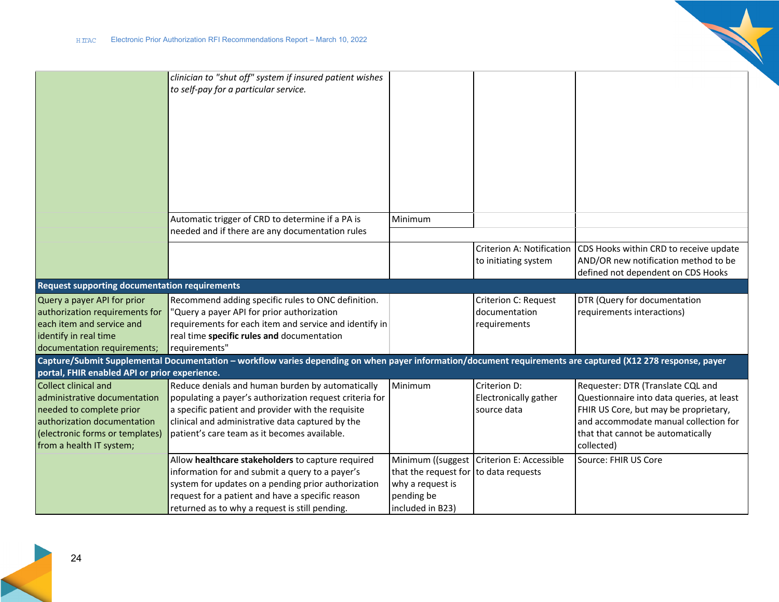

|                                                                                                                                                                                                                                 | clinician to "shut off" system if insured patient wishes<br>to self-pay for a particular service.                                                                                                                                                                     |                                                                                             |                                                              |                                                                                                                                                                                                                     |
|---------------------------------------------------------------------------------------------------------------------------------------------------------------------------------------------------------------------------------|-----------------------------------------------------------------------------------------------------------------------------------------------------------------------------------------------------------------------------------------------------------------------|---------------------------------------------------------------------------------------------|--------------------------------------------------------------|---------------------------------------------------------------------------------------------------------------------------------------------------------------------------------------------------------------------|
|                                                                                                                                                                                                                                 |                                                                                                                                                                                                                                                                       |                                                                                             |                                                              |                                                                                                                                                                                                                     |
|                                                                                                                                                                                                                                 | Automatic trigger of CRD to determine if a PA is<br>needed and if there are any documentation rules                                                                                                                                                                   | Minimum                                                                                     |                                                              |                                                                                                                                                                                                                     |
|                                                                                                                                                                                                                                 |                                                                                                                                                                                                                                                                       |                                                                                             | <b>Criterion A: Notification</b><br>to initiating system     | CDS Hooks within CRD to receive update<br>AND/OR new notification method to be<br>defined not dependent on CDS Hooks                                                                                                |
| <b>Request supporting documentation requirements</b>                                                                                                                                                                            |                                                                                                                                                                                                                                                                       |                                                                                             |                                                              |                                                                                                                                                                                                                     |
| Query a payer API for prior<br>authorization requirements for<br>each item and service and<br>identify in real time<br>documentation requirements;                                                                              | Recommend adding specific rules to ONC definition.<br>"Query a payer API for prior authorization<br>requirements for each item and service and identify in<br>real time specific rules and documentation<br>requirements"                                             |                                                                                             | <b>Criterion C: Request</b><br>documentation<br>requirements | DTR (Query for documentation<br>requirements interactions)                                                                                                                                                          |
|                                                                                                                                                                                                                                 | Capture/Submit Supplemental Documentation – workflow varies depending on when payer information/document requirements are captured (X12 278 response, payer                                                                                                           |                                                                                             |                                                              |                                                                                                                                                                                                                     |
| portal, FHIR enabled API or prior experience.<br>Collect clinical and<br>administrative documentation<br>needed to complete prior<br>authorization documentation<br>(electronic forms or templates)<br>from a health IT system; | Reduce denials and human burden by automatically<br>populating a payer's authorization request criteria for<br>a specific patient and provider with the requisite<br>clinical and administrative data captured by the<br>patient's care team as it becomes available. | Minimum                                                                                     | Criterion D:<br>Electronically gather<br>source data         | Requester: DTR (Translate CQL and<br>Questionnaire into data queries, at least<br>FHIR US Core, but may be proprietary,<br>and accommodate manual collection for<br>that that cannot be automatically<br>collected) |
|                                                                                                                                                                                                                                 | Allow healthcare stakeholders to capture required<br>information for and submit a query to a payer's<br>system for updates on a pending prior authorization<br>request for a patient and have a specific reason<br>returned as to why a request is still pending.     | that the request for to data requests<br>why a request is<br>pending be<br>included in B23) | Minimum ((suggest   Criterion E: Accessible                  | Source: FHIR US Core                                                                                                                                                                                                |

 $\mathcal{L}$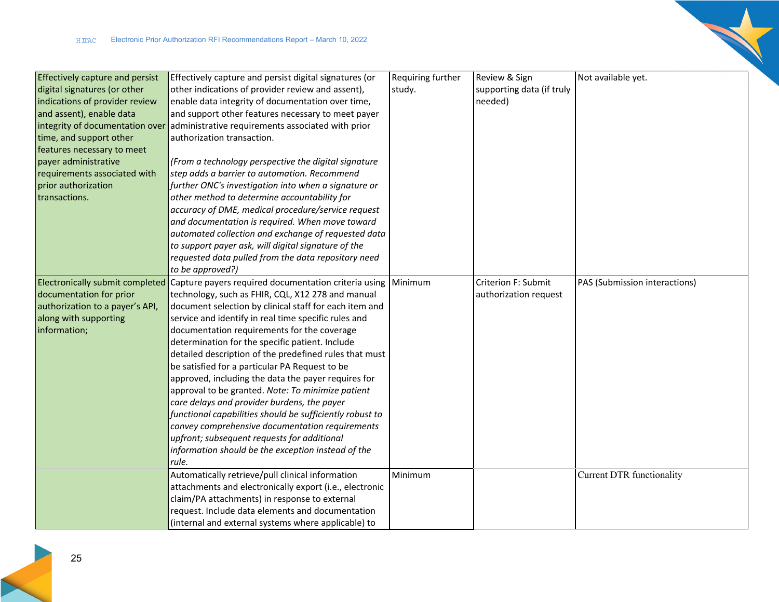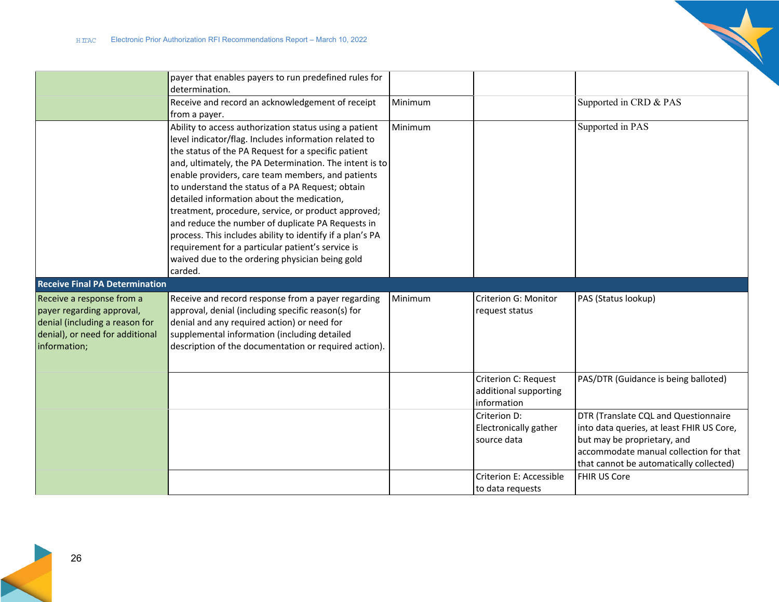

|                                                                                                                                             | payer that enables payers to run predefined rules for<br>determination.                                                                                                                                                                                                                                                                                                                                                                                                                                                                                                                                                                                                              |         |                                                              |                                                                                                                                                                                                       |
|---------------------------------------------------------------------------------------------------------------------------------------------|--------------------------------------------------------------------------------------------------------------------------------------------------------------------------------------------------------------------------------------------------------------------------------------------------------------------------------------------------------------------------------------------------------------------------------------------------------------------------------------------------------------------------------------------------------------------------------------------------------------------------------------------------------------------------------------|---------|--------------------------------------------------------------|-------------------------------------------------------------------------------------------------------------------------------------------------------------------------------------------------------|
|                                                                                                                                             | Receive and record an acknowledgement of receipt<br>from a payer.                                                                                                                                                                                                                                                                                                                                                                                                                                                                                                                                                                                                                    | Minimum |                                                              | Supported in CRD & PAS                                                                                                                                                                                |
|                                                                                                                                             | Ability to access authorization status using a patient<br>level indicator/flag. Includes information related to<br>the status of the PA Request for a specific patient<br>and, ultimately, the PA Determination. The intent is to<br>enable providers, care team members, and patients<br>to understand the status of a PA Request; obtain<br>detailed information about the medication,<br>treatment, procedure, service, or product approved;<br>and reduce the number of duplicate PA Requests in<br>process. This includes ability to identify if a plan's PA<br>requirement for a particular patient's service is<br>waived due to the ordering physician being gold<br>carded. | Minimum |                                                              | Supported in PAS                                                                                                                                                                                      |
| <b>Receive Final PA Determination</b>                                                                                                       |                                                                                                                                                                                                                                                                                                                                                                                                                                                                                                                                                                                                                                                                                      |         |                                                              |                                                                                                                                                                                                       |
| Receive a response from a<br>payer regarding approval,<br>denial (including a reason for<br>denial), or need for additional<br>information; | Receive and record response from a payer regarding<br>approval, denial (including specific reason(s) for<br>denial and any required action) or need for<br>supplemental information (including detailed<br>description of the documentation or required action).                                                                                                                                                                                                                                                                                                                                                                                                                     | Minimum | Criterion G: Monitor<br>request status                       | PAS (Status lookup)                                                                                                                                                                                   |
|                                                                                                                                             |                                                                                                                                                                                                                                                                                                                                                                                                                                                                                                                                                                                                                                                                                      |         | Criterion C: Request<br>additional supporting<br>information | PAS/DTR (Guidance is being balloted)                                                                                                                                                                  |
|                                                                                                                                             |                                                                                                                                                                                                                                                                                                                                                                                                                                                                                                                                                                                                                                                                                      |         | Criterion D:<br>Electronically gather<br>source data         | DTR (Translate CQL and Questionnaire<br>into data queries, at least FHIR US Core,<br>but may be proprietary, and<br>accommodate manual collection for that<br>that cannot be automatically collected) |
|                                                                                                                                             |                                                                                                                                                                                                                                                                                                                                                                                                                                                                                                                                                                                                                                                                                      |         | <b>Criterion E: Accessible</b><br>to data requests           | FHIR US Core                                                                                                                                                                                          |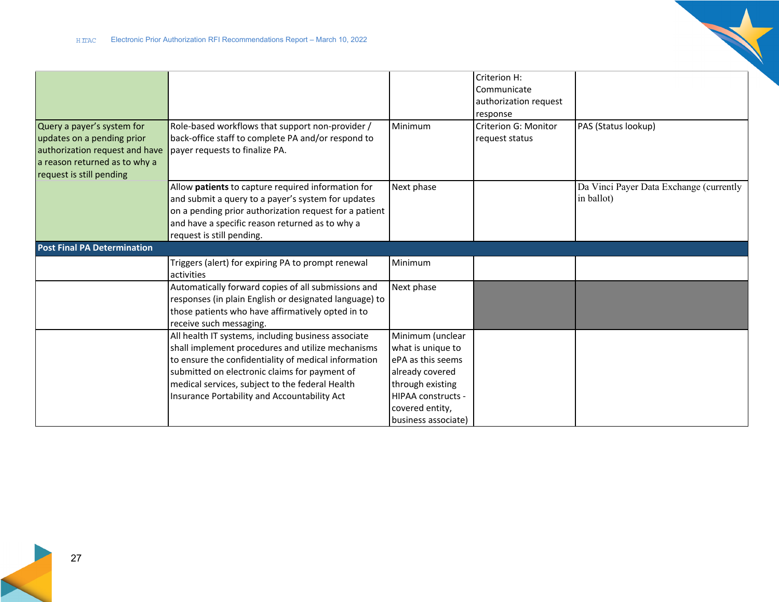

|                                                                                                                                                         |                                                                                                                                                                                                                                                                                                                      |                                                                                                                                                                   | Criterion H:<br>Communicate<br>authorization request<br>response |                                                       |
|---------------------------------------------------------------------------------------------------------------------------------------------------------|----------------------------------------------------------------------------------------------------------------------------------------------------------------------------------------------------------------------------------------------------------------------------------------------------------------------|-------------------------------------------------------------------------------------------------------------------------------------------------------------------|------------------------------------------------------------------|-------------------------------------------------------|
| Query a payer's system for<br>updates on a pending prior<br>authorization request and have<br>a reason returned as to why a<br>request is still pending | Role-based workflows that support non-provider /<br>back-office staff to complete PA and/or respond to<br>payer requests to finalize PA.                                                                                                                                                                             | Minimum                                                                                                                                                           | Criterion G: Monitor<br>request status                           | PAS (Status lookup)                                   |
|                                                                                                                                                         | Allow patients to capture required information for<br>and submit a query to a payer's system for updates<br>on a pending prior authorization request for a patient<br>and have a specific reason returned as to why a<br>request is still pending.                                                                   | Next phase                                                                                                                                                        |                                                                  | Da Vinci Payer Data Exchange (currently<br>in ballot) |
| <b>Post Final PA Determination</b>                                                                                                                      |                                                                                                                                                                                                                                                                                                                      |                                                                                                                                                                   |                                                                  |                                                       |
|                                                                                                                                                         | Triggers (alert) for expiring PA to prompt renewal<br>activities                                                                                                                                                                                                                                                     | Minimum                                                                                                                                                           |                                                                  |                                                       |
|                                                                                                                                                         | Automatically forward copies of all submissions and<br>responses (in plain English or designated language) to<br>those patients who have affirmatively opted in to<br>receive such messaging.                                                                                                                        | Next phase                                                                                                                                                        |                                                                  |                                                       |
|                                                                                                                                                         | All health IT systems, including business associate<br>shall implement procedures and utilize mechanisms<br>to ensure the confidentiality of medical information<br>submitted on electronic claims for payment of<br>medical services, subject to the federal Health<br>Insurance Portability and Accountability Act | Minimum (unclear<br>what is unique to<br>ePA as this seems<br>already covered<br>through existing<br>HIPAA constructs -<br>covered entity,<br>business associate) |                                                                  |                                                       |

 $\mathbb{R}^2$